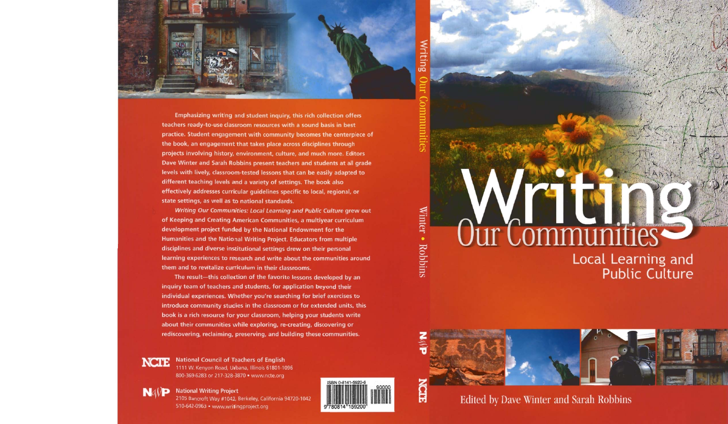# Mr tin Local Learning and<br>Public Culture



Edited by Dave Winter and Sarah Robbins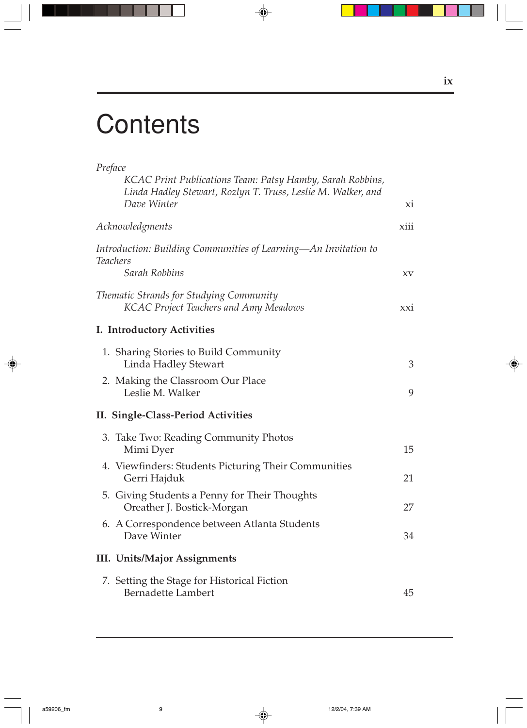# **Contents**

| Preface                                                                                                                                  |      |
|------------------------------------------------------------------------------------------------------------------------------------------|------|
| KCAC Print Publications Team: Patsy Hamby, Sarah Robbins,<br>Linda Hadley Stewart, Rozlyn T. Truss, Leslie M. Walker, and<br>Dave Winter | хi   |
| Acknowledgments                                                                                                                          | xiii |
| Introduction: Building Communities of Learning-An Invitation to<br><b>Teachers</b><br>Sarah Robbins                                      | XV   |
| Thematic Strands for Studying Community<br>KCAC Project Teachers and Amy Meadows                                                         | XX1  |
| I. Introductory Activities                                                                                                               |      |
| 1. Sharing Stories to Build Community<br>Linda Hadley Stewart                                                                            | 3    |
| 2. Making the Classroom Our Place<br>Leslie M. Walker                                                                                    | 9    |
| II. Single-Class-Period Activities                                                                                                       |      |
| 3. Take Two: Reading Community Photos<br>Mimi Dyer                                                                                       | 15   |
| 4. Viewfinders: Students Picturing Their Communities<br>Gerri Hajduk                                                                     | 21   |
| 5. Giving Students a Penny for Their Thoughts<br>Oreather J. Bostick-Morgan                                                              | 27   |
| 6. A Correspondence between Atlanta Students<br>Dave Winter                                                                              | 34   |
| <b>III.</b> Units/Major Assignments                                                                                                      |      |
| 7. Setting the Stage for Historical Fiction<br><b>Bernadette Lambert</b>                                                                 | 45   |
|                                                                                                                                          |      |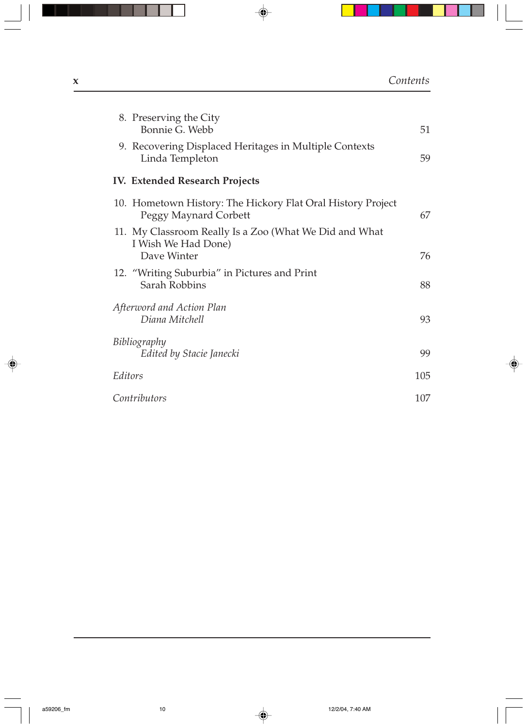|         | 8. Preserving the City<br>Bonnie G. Webb                                             | 51  |
|---------|--------------------------------------------------------------------------------------|-----|
|         | 9. Recovering Displaced Heritages in Multiple Contexts<br>Linda Templeton            | 59  |
|         | IV. Extended Research Projects                                                       |     |
|         | 10. Hometown History: The Hickory Flat Oral History Project<br>Peggy Maynard Corbett | 67  |
|         | 11. My Classroom Really Is a Zoo (What We Did and What                               |     |
|         | I Wish We Had Done)<br>Dave Winter                                                   | 76  |
|         | 12. "Writing Suburbia" in Pictures and Print<br>Sarah Robbins                        | 88  |
|         | Afterword and Action Plan                                                            |     |
|         | Diana Mitchell                                                                       | 93  |
|         | Bibliography<br>Edited by Stacie Janecki                                             | 99  |
| Editors |                                                                                      | 105 |
|         | Contributors                                                                         | 107 |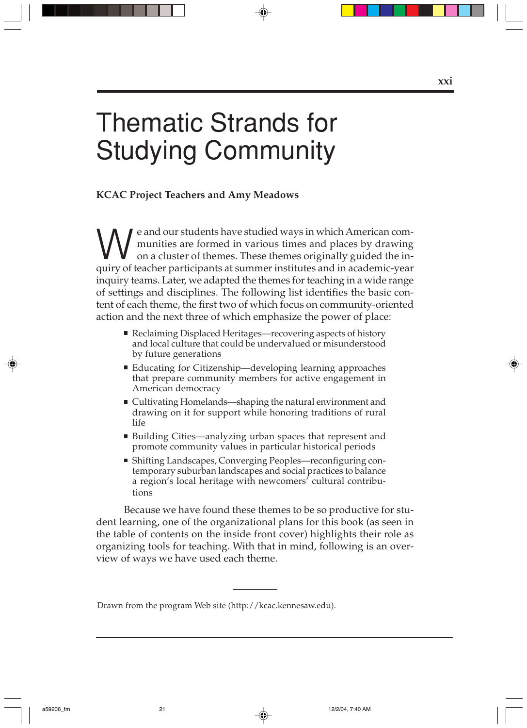# Thematic Strands for Studying Community

### **KCAC Project Teachers and Amy Meadows**

We and our students have studied ways in which American com-<br>
on a cluster of themes. These themes originally guided the in-<br>
outry of together participants at summer institutes and in academic-your munities are formed in various times and places by drawing quiry of teacher participants at summer institutes and in academic-year inquiry teams. Later, we adapted the themes for teaching in a wide range of settings and disciplines. The following list identifies the basic content of each theme, the first two of which focus on community-oriented action and the next three of which emphasize the power of place:

- Reclaiming Displaced Heritages—recovering aspects of history and local culture that could be undervalued or misunderstood by future generations
- Educating for Citizenship—developing learning approaches that prepare community members for active engagement in American democracy
- Cultivating Homelands—shaping the natural environment and drawing on it for support while honoring traditions of rural life
- Building Cities—analyzing urban spaces that represent and promote community values in particular historical periods
- Shifting Landscapes, Converging Peoples—reconfiguring contemporary suburban landscapes and social practices to balance a region's local heritage with newcomers' cultural contributions

Because we have found these themes to be so productive for student learning, one of the organizational plans for this book (as seen in the table of contents on the inside front cover) highlights their role as organizing tools for teaching. With that in mind, following is an overview of ways we have used each theme.

Drawn from the program Web site (http://kcac.kennesaw.edu).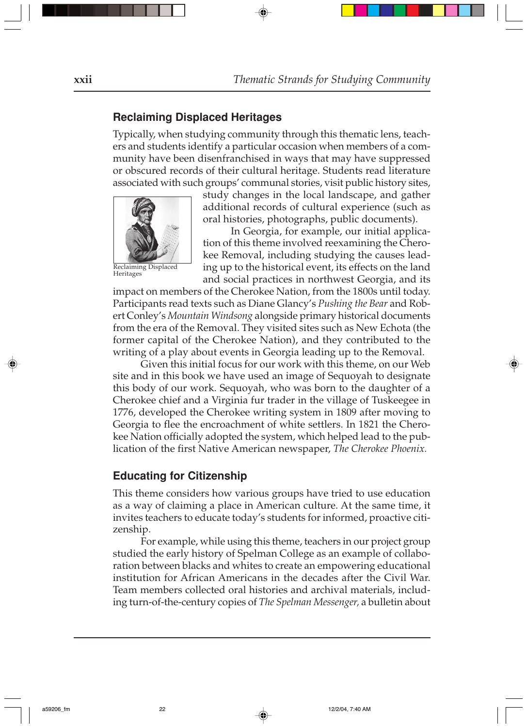### **Reclaiming Displaced Heritages**

Typically, when studying community through this thematic lens, teachers and students identify a particular occasion when members of a community have been disenfranchised in ways that may have suppressed or obscured records of their cultural heritage. Students read literature associated with such groups' communal stories, visit public history sites,



Reclaiming Displaced Heritages

study changes in the local landscape, and gather additional records of cultural experience (such as oral histories, photographs, public documents).

In Georgia, for example, our initial application of this theme involved reexamining the Cherokee Removal, including studying the causes leading up to the historical event, its effects on the land and social practices in northwest Georgia, and its

impact on members of the Cherokee Nation, from the 1800s until today. Participants read texts such as Diane Glancy's *Pushing the Bear* and Robert Conley's *Mountain Windsong* alongside primary historical documents from the era of the Removal. They visited sites such as New Echota (the former capital of the Cherokee Nation), and they contributed to the writing of a play about events in Georgia leading up to the Removal.

Given this initial focus for our work with this theme, on our Web site and in this book we have used an image of Sequoyah to designate this body of our work. Sequoyah, who was born to the daughter of a Cherokee chief and a Virginia fur trader in the village of Tuskeegee in 1776, developed the Cherokee writing system in 1809 after moving to Georgia to flee the encroachment of white settlers. In 1821 the Cherokee Nation officially adopted the system, which helped lead to the publication of the first Native American newspaper, *The Cherokee Phoenix.*

## **Educating for Citizenship**

This theme considers how various groups have tried to use education as a way of claiming a place in American culture. At the same time, it invites teachers to educate today's students for informed, proactive citizenship.

For example, while using this theme, teachers in our project group studied the early history of Spelman College as an example of collaboration between blacks and whites to create an empowering educational institution for African Americans in the decades after the Civil War. Team members collected oral histories and archival materials, including turn-of-the-century copies of *The Spelman Messenger,* a bulletin about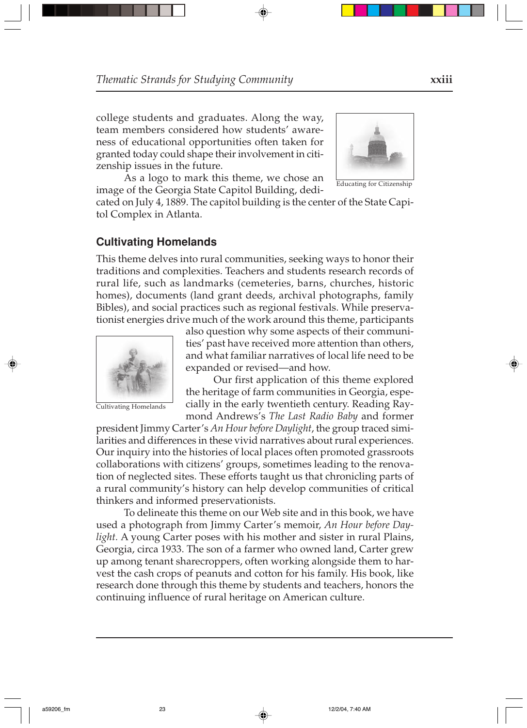college students and graduates. Along the way, team members considered how students' awareness of educational opportunities often taken for granted today could shape their involvement in citizenship issues in the future.

As a logo to mark this theme, we chose an image of the Georgia State Capitol Building, dedi-



Educating for Citizenship

cated on July 4, 1889. The capitol building is the center of the State Capitol Complex in Atlanta.

# **Cultivating Homelands**

This theme delves into rural communities, seeking ways to honor their traditions and complexities. Teachers and students research records of rural life, such as landmarks (cemeteries, barns, churches, historic homes), documents (land grant deeds, archival photographs, family Bibles), and social practices such as regional festivals. While preservationist energies drive much of the work around this theme, participants



Cultivating Homelands

also question why some aspects of their communities' past have received more attention than others, and what familiar narratives of local life need to be expanded or revised—and how.

Our first application of this theme explored the heritage of farm communities in Georgia, especially in the early twentieth century. Reading Raymond Andrews's *The Last Radio Baby* and former

president Jimmy Carter's *An Hour before Daylight*, the group traced similarities and differences in these vivid narratives about rural experiences. Our inquiry into the histories of local places often promoted grassroots collaborations with citizens' groups, sometimes leading to the renovation of neglected sites. These efforts taught us that chronicling parts of a rural community's history can help develop communities of critical thinkers and informed preservationists.

To delineate this theme on our Web site and in this book, we have used a photograph from Jimmy Carter's memoir, *An Hour before Daylight.* A young Carter poses with his mother and sister in rural Plains, Georgia, circa 1933. The son of a farmer who owned land, Carter grew up among tenant sharecroppers, often working alongside them to harvest the cash crops of peanuts and cotton for his family. His book, like research done through this theme by students and teachers, honors the continuing influence of rural heritage on American culture.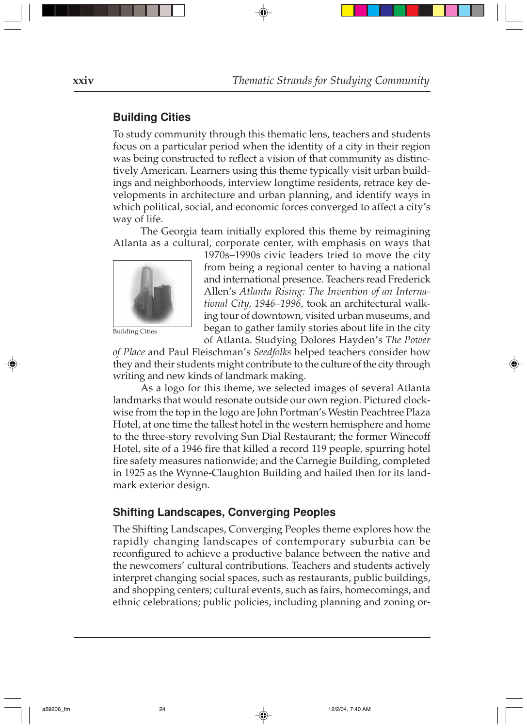## **Building Cities**

To study community through this thematic lens, teachers and students focus on a particular period when the identity of a city in their region was being constructed to reflect a vision of that community as distinctively American. Learners using this theme typically visit urban buildings and neighborhoods, interview longtime residents, retrace key developments in architecture and urban planning, and identify ways in which political, social, and economic forces converged to affect a city's way of life.

The Georgia team initially explored this theme by reimagining Atlanta as a cultural, corporate center, with emphasis on ways that



Building Cities

1970s–1990s civic leaders tried to move the city from being a regional center to having a national and international presence. Teachers read Frederick Allen's *Atlanta Rising: The Invention of an International City, 1946–1996*, took an architectural walking tour of downtown, visited urban museums, and began to gather family stories about life in the city of Atlanta. Studying Dolores Hayden's *The Power*

*of Place* and Paul Fleischman's *Seedfolks* helped teachers consider how they and their students might contribute to the culture of the city through writing and new kinds of landmark making.

As a logo for this theme, we selected images of several Atlanta landmarks that would resonate outside our own region. Pictured clockwise from the top in the logo are John Portman's Westin Peachtree Plaza Hotel, at one time the tallest hotel in the western hemisphere and home to the three-story revolving Sun Dial Restaurant; the former Winecoff Hotel, site of a 1946 fire that killed a record 119 people, spurring hotel fire safety measures nationwide; and the Carnegie Building, completed in 1925 as the Wynne-Claughton Building and hailed then for its landmark exterior design.

## **Shifting Landscapes, Converging Peoples**

The Shifting Landscapes, Converging Peoples theme explores how the rapidly changing landscapes of contemporary suburbia can be reconfigured to achieve a productive balance between the native and the newcomers' cultural contributions. Teachers and students actively interpret changing social spaces, such as restaurants, public buildings, and shopping centers; cultural events, such as fairs, homecomings, and ethnic celebrations; public policies, including planning and zoning or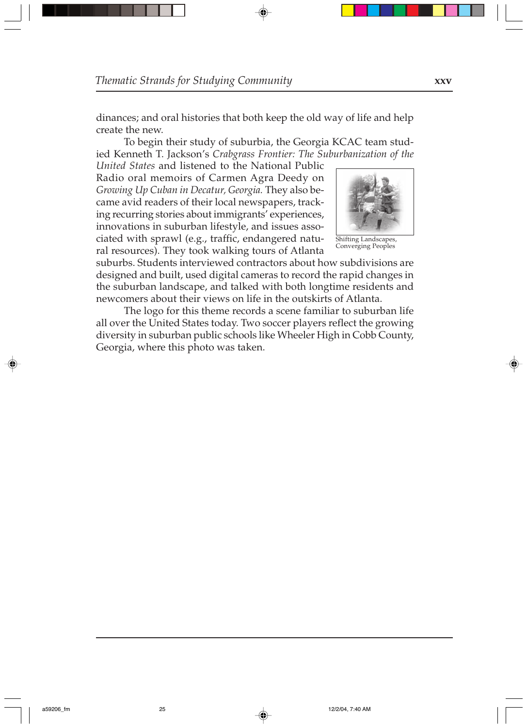dinances; and oral histories that both keep the old way of life and help create the new.

To begin their study of suburbia, the Georgia KCAC team studied Kenneth T. Jackson's *Crabgrass Frontier: The Suburbanization of the*

*United States* and listened to the National Public Radio oral memoirs of Carmen Agra Deedy on *Growing Up Cuban in Decatur, Georgia.* They also became avid readers of their local newspapers, tracking recurring stories about immigrants' experiences, innovations in suburban lifestyle, and issues associated with sprawl (e.g., traffic, endangered natural resources). They took walking tours of Atlanta



Shifting Landscapes, Converging Peoples

suburbs. Students interviewed contractors about how subdivisions are designed and built, used digital cameras to record the rapid changes in the suburban landscape, and talked with both longtime residents and newcomers about their views on life in the outskirts of Atlanta.

The logo for this theme records a scene familiar to suburban life all over the United States today. Two soccer players reflect the growing diversity in suburban public schools like Wheeler High in Cobb County, Georgia, where this photo was taken.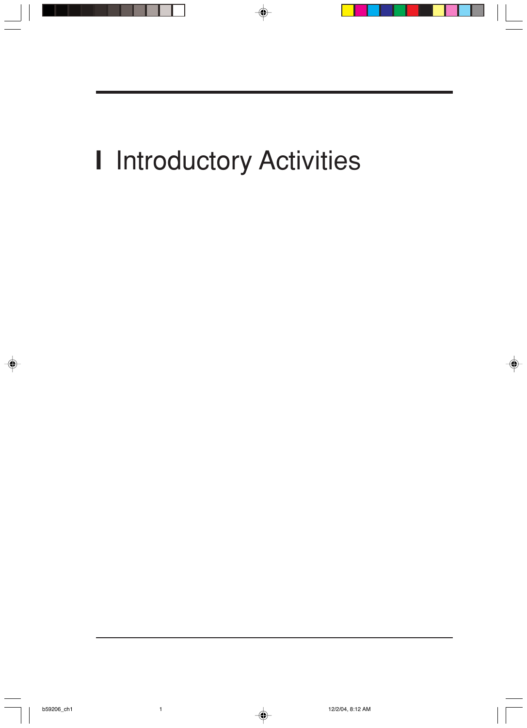# **I** Introductory Activities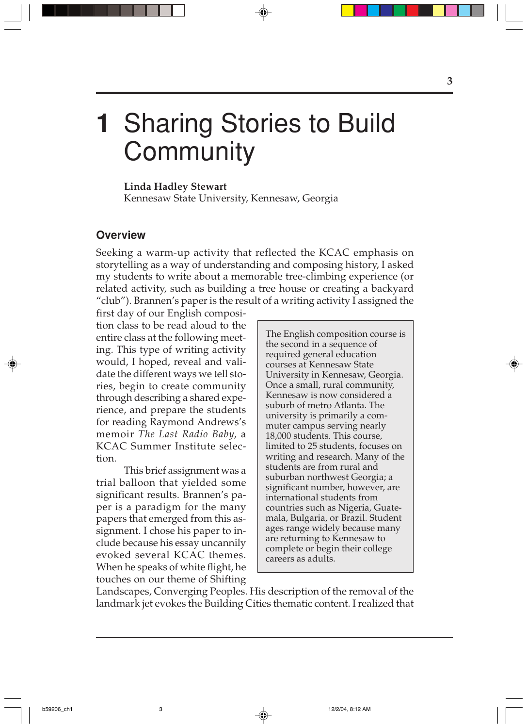# **1** Sharing Stories to Build **Community**

**Linda Hadley Stewart** Kennesaw State University, Kennesaw, Georgia

### **Overview**

Seeking a warm-up activity that reflected the KCAC emphasis on storytelling as a way of understanding and composing history, I asked my students to write about a memorable tree-climbing experience (or related activity, such as building a tree house or creating a backyard "club"). Brannen's paper is the result of a writing activity I assigned the

first day of our English composition class to be read aloud to the entire class at the following meeting. This type of writing activity would, I hoped, reveal and validate the different ways we tell stories, begin to create community through describing a shared experience, and prepare the students for reading Raymond Andrews's memoir *The Last Radio Baby,* a KCAC Summer Institute selection.

This brief assignment was a trial balloon that yielded some significant results. Brannen's paper is a paradigm for the many papers that emerged from this assignment. I chose his paper to include because his essay uncannily evoked several KCAC themes. When he speaks of white flight, he touches on our theme of Shifting The English composition course is the second in a sequence of required general education courses at Kennesaw State University in Kennesaw, Georgia. Once a small, rural community, Kennesaw is now considered a suburb of metro Atlanta. The university is primarily a commuter campus serving nearly 18,000 students. This course, limited to 25 students, focuses on writing and research. Many of the students are from rural and suburban northwest Georgia; a significant number, however, are international students from countries such as Nigeria, Guatemala, Bulgaria, or Brazil. Student ages range widely because many are returning to Kennesaw to complete or begin their college careers as adults.

Landscapes, Converging Peoples. His description of the removal of the landmark jet evokes the Building Cities thematic content. I realized that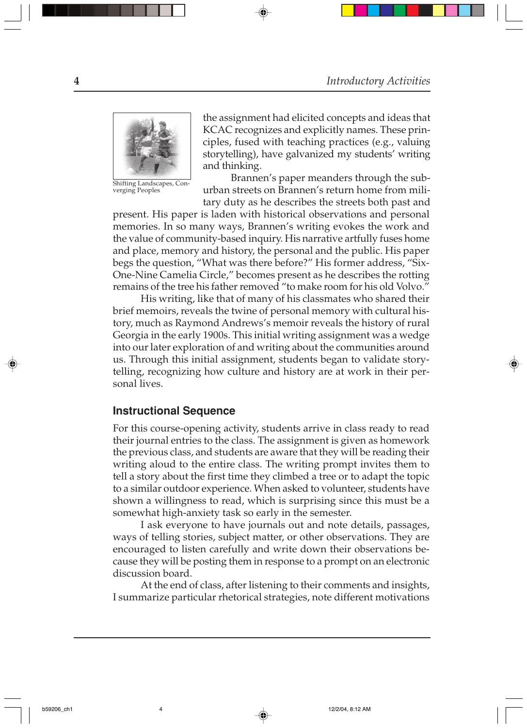

Shifting Landscapes, Converging Peoples

the assignment had elicited concepts and ideas that KCAC recognizes and explicitly names. These principles, fused with teaching practices (e.g., valuing storytelling), have galvanized my students' writing and thinking.

Brannen's paper meanders through the suburban streets on Brannen's return home from military duty as he describes the streets both past and

present. His paper is laden with historical observations and personal memories. In so many ways, Brannen's writing evokes the work and the value of community-based inquiry. His narrative artfully fuses home and place, memory and history, the personal and the public. His paper begs the question, "What was there before?" His former address, "Six-One-Nine Camelia Circle," becomes present as he describes the rotting remains of the tree his father removed "to make room for his old Volvo."

His writing, like that of many of his classmates who shared their brief memoirs, reveals the twine of personal memory with cultural history, much as Raymond Andrews's memoir reveals the history of rural Georgia in the early 1900s. This initial writing assignment was a wedge into our later exploration of and writing about the communities around us. Through this initial assignment, students began to validate storytelling, recognizing how culture and history are at work in their personal lives.

### **Instructional Sequence**

For this course-opening activity, students arrive in class ready to read their journal entries to the class. The assignment is given as homework the previous class, and students are aware that they will be reading their writing aloud to the entire class. The writing prompt invites them to tell a story about the first time they climbed a tree or to adapt the topic to a similar outdoor experience. When asked to volunteer, students have shown a willingness to read, which is surprising since this must be a somewhat high-anxiety task so early in the semester.

I ask everyone to have journals out and note details, passages, ways of telling stories, subject matter, or other observations. They are encouraged to listen carefully and write down their observations because they will be posting them in response to a prompt on an electronic discussion board.

At the end of class, after listening to their comments and insights, I summarize particular rhetorical strategies, note different motivations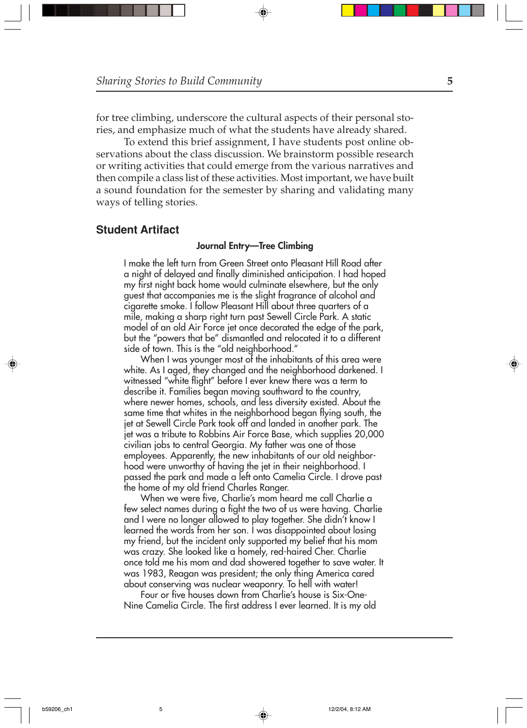for tree climbing, underscore the cultural aspects of their personal stories, and emphasize much of what the students have already shared.

To extend this brief assignment, I have students post online observations about the class discussion. We brainstorm possible research or writing activities that could emerge from the various narratives and then compile a class list of these activities. Most important, we have built a sound foundation for the semester by sharing and validating many ways of telling stories.

#### **Student Artifact**

#### **Journal Entry—Tree Climbing**

I make the left turn from Green Street onto Pleasant Hill Road after a night of delayed and finally diminished anticipation. I had hoped my first night back home would culminate elsewhere, but the only guest that accompanies me is the slight fragrance of alcohol and cigarette smoke. I follow Pleasant Hill about three quarters of a mile, making a sharp right turn past Sewell Circle Park. A static model of an old Air Force jet once decorated the edge of the park, but the "powers that be" dismantled and relocated it to a different side of town. This is the "old neighborhood."

When I was younger most of the inhabitants of this area were white. As I aged, they changed and the neighborhood darkened. I witnessed "white flight" before I ever knew there was a term to describe it. Families began moving southward to the country, where newer homes, schools, and less diversity existed. About the same time that whites in the neighborhood began flying south, the jet at Sewell Circle Park took off and landed in another park. The jet was a tribute to Robbins Air Force Base, which supplies 20,000 civilian jobs to central Georgia. My father was one of those employees. Apparently, the new inhabitants of our old neighborhood were unworthy of having the jet in their neighborhood. I passed the park and made a left onto Camelia Circle. I drove past the home of my old friend Charles Ranger.

When we were five, Charlie's mom heard me call Charlie a few select names during a fight the two of us were having. Charlie and I were no longer allowed to play together. She didn't know I learned the words from her son. I was disappointed about losing my friend, but the incident only supported my belief that his mom was crazy. She looked like a homely, red-haired Cher. Charlie once told me his mom and dad showered together to save water. It was 1983, Reagan was president; the only thing America cared about conserving was nuclear weaponry. To hell with water!

Four or five houses down from Charlie's house is Six-One-Nine Camelia Circle. The first address I ever learned. It is my old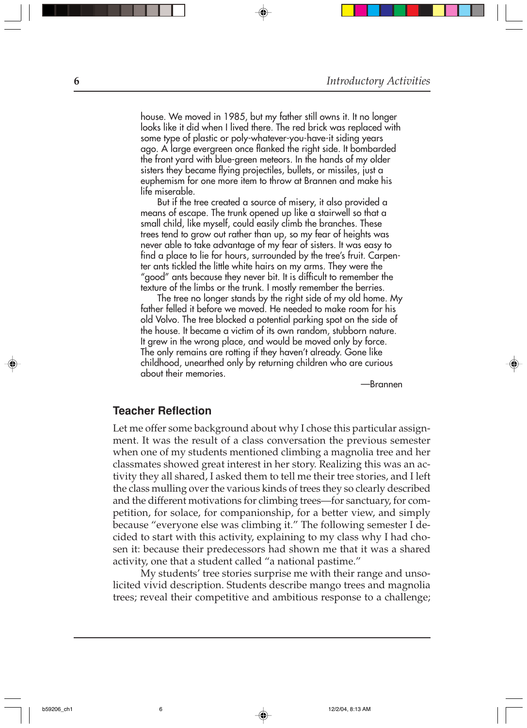house. We moved in 1985, but my father still owns it. It no longer looks like it did when I lived there. The red brick was replaced with some type of plastic or poly-whatever-you-have-it siding years ago. A large evergreen once flanked the right side. It bombarded the front yard with blue-green meteors. In the hands of my older sisters they became flying projectiles, bullets, or missiles, just a euphemism for one more item to throw at Brannen and make his life miserable.

But if the tree created a source of misery, it also provided a means of escape. The trunk opened up like a stairwell so that a small child, like myself, could easily climb the branches. These trees tend to grow out rather than up, so my fear of heights was never able to take advantage of my fear of sisters. It was easy to find a place to lie for hours, surrounded by the tree's fruit. Carpenter ants tickled the little white hairs on my arms. They were the "good" ants because they never bit. It is difficult to remember the texture of the limbs or the trunk. I mostly remember the berries.

The tree no longer stands by the right side of my old home. My father felled it before we moved. He needed to make room for his old Volvo. The tree blocked a potential parking spot on the side of the house. It became a victim of its own random, stubborn nature. It grew in the wrong place, and would be moved only by force. The only remains are rotting if they haven't already. Gone like childhood, unearthed only by returning children who are curious about their memories.

—Brannen

#### **Teacher Reflection**

Let me offer some background about why I chose this particular assignment. It was the result of a class conversation the previous semester when one of my students mentioned climbing a magnolia tree and her classmates showed great interest in her story. Realizing this was an activity they all shared, I asked them to tell me their tree stories, and I left the class mulling over the various kinds of trees they so clearly described and the different motivations for climbing trees—for sanctuary, for competition, for solace, for companionship, for a better view, and simply because "everyone else was climbing it." The following semester I decided to start with this activity, explaining to my class why I had chosen it: because their predecessors had shown me that it was a shared activity, one that a student called "a national pastime."

My students' tree stories surprise me with their range and unsolicited vivid description. Students describe mango trees and magnolia trees; reveal their competitive and ambitious response to a challenge;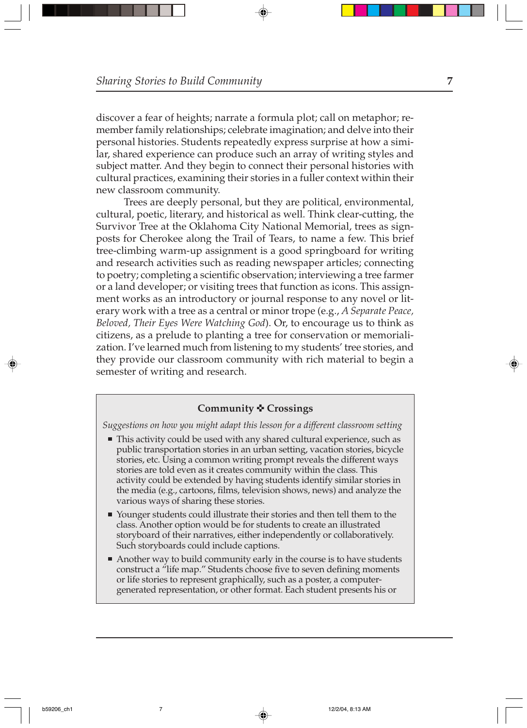discover a fear of heights; narrate a formula plot; call on metaphor; remember family relationships; celebrate imagination; and delve into their personal histories. Students repeatedly express surprise at how a similar, shared experience can produce such an array of writing styles and subject matter. And they begin to connect their personal histories with cultural practices, examining their stories in a fuller context within their new classroom community.

Trees are deeply personal, but they are political, environmental, cultural, poetic, literary, and historical as well. Think clear-cutting, the Survivor Tree at the Oklahoma City National Memorial, trees as signposts for Cherokee along the Trail of Tears, to name a few. This brief tree-climbing warm-up assignment is a good springboard for writing and research activities such as reading newspaper articles; connecting to poetry; completing a scientific observation; interviewing a tree farmer or a land developer; or visiting trees that function as icons. This assignment works as an introductory or journal response to any novel or literary work with a tree as a central or minor trope (e.g., *A Separate Peace, Beloved, Their Eyes Were Watching God*). Or, to encourage us to think as citizens, as a prelude to planting a tree for conservation or memorialization. I've learned much from listening to my students' tree stories, and they provide our classroom community with rich material to begin a semester of writing and research.

#### **Community** ✜ **Crossings**

*Suggestions on how you might adapt this lesson for a different classroom setting*

- This activity could be used with any shared cultural experience, such as public transportation stories in an urban setting, vacation stories, bicycle stories, etc. Using a common writing prompt reveals the different ways stories are told even as it creates community within the class. This activity could be extended by having students identify similar stories in the media (e.g., cartoons, films, television shows, news) and analyze the various ways of sharing these stories.
- Younger students could illustrate their stories and then tell them to the class. Another option would be for students to create an illustrated storyboard of their narratives, either independently or collaboratively. Such storyboards could include captions.
- Another way to build community early in the course is to have students construct a "life map." Students choose five to seven defining moments or life stories to represent graphically, such as a poster, a computergenerated representation, or other format. Each student presents his or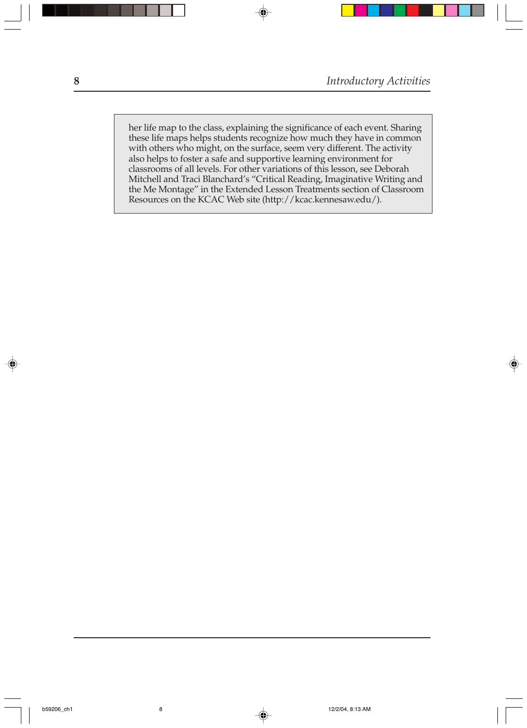her life map to the class, explaining the significance of each event. Sharing these life maps helps students recognize how much they have in common with others who might, on the surface, seem very different. The activity also helps to foster a safe and supportive learning environment for classrooms of all levels. For other variations of this lesson, see Deborah Mitchell and Traci Blanchard's "Critical Reading, Imaginative Writing and the Me Montage" in the Extended Lesson Treatments section of Classroom Resources on the KCAC Web site (http://kcac.kennesaw.edu/).